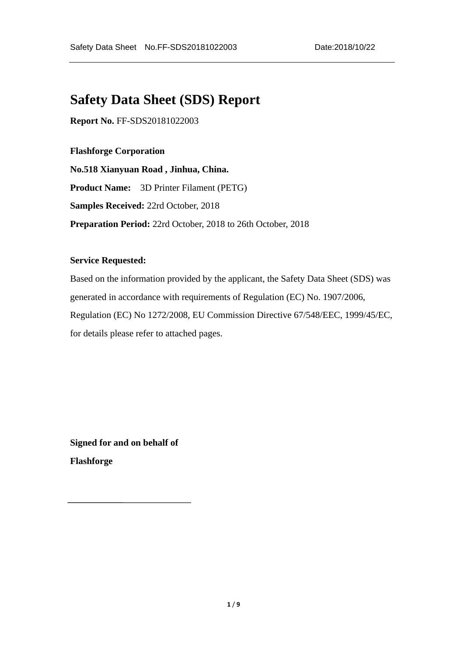# **Safety Data Sheet (SDS) Report**

**Report No.** FF-SDS20181022003

# **Flashforge Corporation**

**No.518 Xianyuan Road , Jinhua, China. Product Name:** 3D Printer Filament (PETG) **Samples Received:** 22rd October, 2018 **Preparation Period:** 22rd October, 2018 to 26th October, 2018

#### **Service Requested:**

Based on the information provided by the applicant, the Safety Data Sheet (SDS) was generated in accordance with requirements of Regulation (EC) No. 1907/2006, Regulation (EC) No 1272/2008, EU Commission Directive 67/548/EEC, 1999/45/EC, for details please refer to attached pages.

**Signed for and on behalf of Flashforge**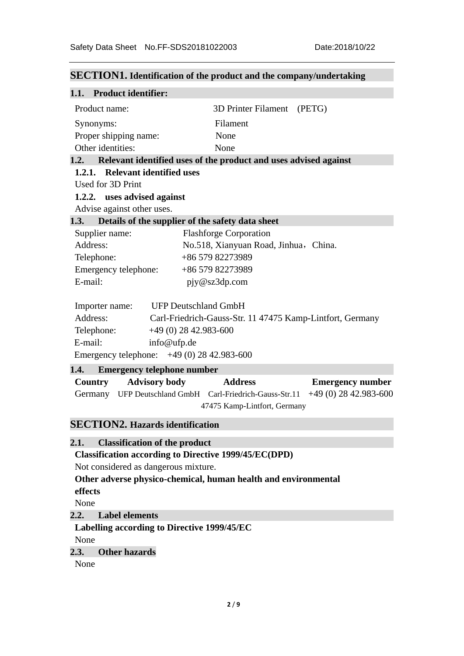# **SECTION1. Identification of the product and the company/undertaking 1.1. Product identifier:**  Product name: 3D Printer Filament (PETG) Synonyms: Filament Proper shipping name: None Other identities: None **1.2. Relevant identified uses of the product and uses advised against 1.2.1. Relevant identified uses**  Used for 3D Print  **1.2.2. uses advised against**  Advise against other uses. **1.3. Details of the supplier of the safety data sheet**  Supplier name: Flashforge Corporation Address: No.518, Xianyuan Road, Jinhua, China. Telephone: +86 579 82273989 Emergency telephone: +86 579 82273989 E-mail: pjy@sz3dp.com Importer name: UFP Deutschland GmbH Address: Carl-Friedrich-Gauss-Str. 11 47475 Kamp-Lintfort, Germany Telephone: +49 (0) 28 42.983-600 E-mail: info@ufp.de Emergency telephone: +49 (0) 28 42.983-600 **1.4. Emergency telephone number Country Advisory body Address Emergency number**  Germany UFP Deutschland GmbH Carl-Friedrich-Gauss-Str.11 +49 (0) 28 42.983-600 47475 Kamp-Lintfort, Germany **SECTION2. Hazards identification 2.1. Classification of the product**

 **Classification according to Directive 1999/45/EC(DPD)** 

Not considered as dangerous mixture.

 **Other adverse physico-chemical, human health and environmental** 

 **effects** 

None

# **2.2. Label elements**

#### **Labelling according to Directive 1999/45/EC**

None

# **2.3. Other hazards**

None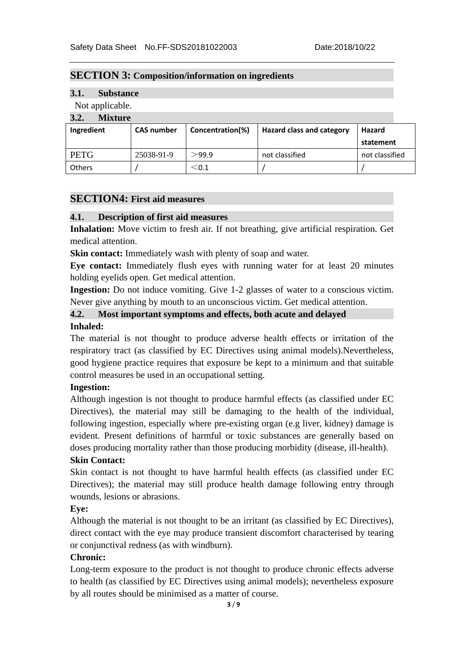#### **SECTION 3: Composition/information on ingredients**

# **3.1. Substance**

#### Not applicable.

# **3.2. Mixture**

| $\ddotsc$<br>TY <b>ITA</b> ULLU |                   |                  |                                  |                |
|---------------------------------|-------------------|------------------|----------------------------------|----------------|
| Ingredient                      | <b>CAS number</b> | Concentration(%) | <b>Hazard class and category</b> | Hazard         |
|                                 |                   |                  |                                  | statement      |
| <b>PETG</b>                     | 25038-91-9        | >99.9            | not classified                   | not classified |
| <b>Others</b>                   |                   | ${\leq}0.1$      |                                  |                |

# **SECTION4: First aid measures**

# **4.1. Description of first aid measures**

**Inhalation:** Move victim to fresh air. If not breathing, give artificial respiration. Get medical attention.

**Skin contact:** Immediately wash with plenty of soap and water.

**Eye contact:** Immediately flush eyes with running water for at least 20 minutes holding eyelids open. Get medical attention.

**Ingestion:** Do not induce vomiting. Give 1-2 glasses of water to a conscious victim. Never give anything by mouth to an unconscious victim. Get medical attention.

# **4.2. Most important symptoms and effects, both acute and delayed**

#### **Inhaled:**

The material is not thought to produce adverse health effects or irritation of the respiratory tract (as classified by EC Directives using animal models).Nevertheless, good hygiene practice requires that exposure be kept to a minimum and that suitable control measures be used in an occupational setting.

# **Ingestion:**

Although ingestion is not thought to produce harmful effects (as classified under EC Directives), the material may still be damaging to the health of the individual, following ingestion, especially where pre-existing organ (e.g liver, kidney) damage is evident. Present definitions of harmful or toxic substances are generally based on doses producing mortality rather than those producing morbidity (disease, ill-health).

# **Skin Contact:**

Skin contact is not thought to have harmful health effects (as classified under EC Directives); the material may still produce health damage following entry through wounds, lesions or abrasions.

# **Eye:**

Although the material is not thought to be an irritant (as classified by EC Directives), direct contact with the eye may produce transient discomfort characterised by tearing or conjunctival redness (as with windburn).

# **Chronic:**

Long-term exposure to the product is not thought to produce chronic effects adverse to health (as classified by EC Directives using animal models); nevertheless exposure by all routes should be minimised as a matter of course.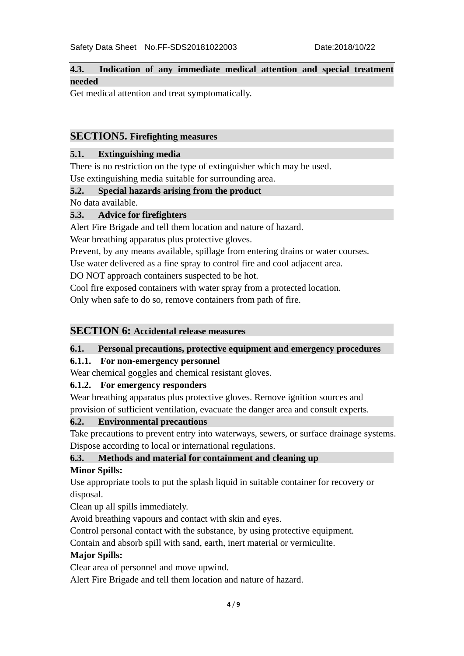# **4.3. Indication of any immediate medical attention and special treatment needed**

Get medical attention and treat symptomatically.

# **SECTION5. Firefighting measures**

# **5.1. Extinguishing media**

There is no restriction on the type of extinguisher which may be used.

Use extinguishing media suitable for surrounding area.

# **5.2. Special hazards arising from the product**

No data available.

# **5.3. Advice for firefighters**

Alert Fire Brigade and tell them location and nature of hazard.

Wear breathing apparatus plus protective gloves.

Prevent, by any means available, spillage from entering drains or water courses.

Use water delivered as a fine spray to control fire and cool adjacent area.

DO NOT approach containers suspected to be hot.

Cool fire exposed containers with water spray from a protected location.

Only when safe to do so, remove containers from path of fire.

# **SECTION 6: Accidental release measures**

# **6.1. Personal precautions, protective equipment and emergency procedures**

# **6.1.1. For non-emergency personnel**

Wear chemical goggles and chemical resistant gloves.

# **6.1.2. For emergency responders**

Wear breathing apparatus plus protective gloves. Remove ignition sources and provision of sufficient ventilation, evacuate the danger area and consult experts.

# **6.2. Environmental precautions**

Take precautions to prevent entry into waterways, sewers, or surface drainage systems. Dispose according to local or international regulations.

# **6.3. Methods and material for containment and cleaning up**

# **Minor Spills:**

Use appropriate tools to put the splash liquid in suitable container for recovery or disposal.

Clean up all spills immediately.

Avoid breathing vapours and contact with skin and eyes.

Control personal contact with the substance, by using protective equipment.

Contain and absorb spill with sand, earth, inert material or vermiculite.

# **Major Spills:**

Clear area of personnel and move upwind.

Alert Fire Brigade and tell them location and nature of hazard.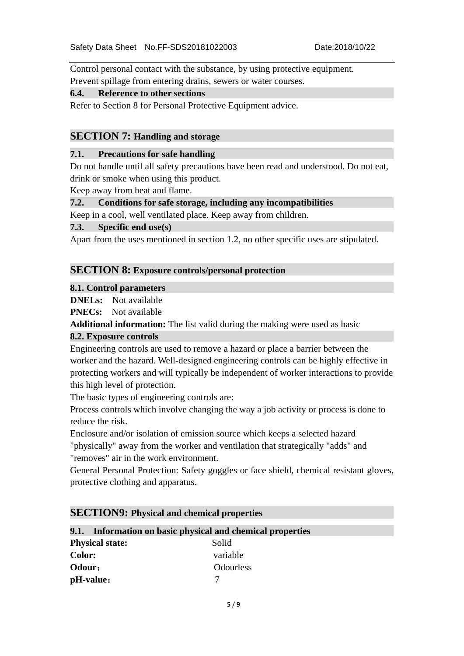Control personal contact with the substance, by using protective equipment. Prevent spillage from entering drains, sewers or water courses.

#### **6.4. Reference to other sections**

Refer to Section 8 for Personal Protective Equipment advice.

# **SECTION 7: Handling and storage**

#### **7.1. Precautions for safe handling**

Do not handle until all safety precautions have been read and understood. Do not eat, drink or smoke when using this product.

Keep away from heat and flame.

# **7.2. Conditions for safe storage, including any incompatibilities**

Keep in a cool, well ventilated place. Keep away from children.

#### **7.3. Specific end use(s)**

Apart from the uses mentioned in section 1.2, no other specific uses are stipulated.

#### **SECTION 8: Exposure controls/personal protection**

#### **8.1. Control parameters**

**DNELs:** Not available

**PNECs:** Not available

**Additional information:** The list valid during the making were used as basic

# **8.2. Exposure controls**

Engineering controls are used to remove a hazard or place a barrier between the worker and the hazard. Well-designed engineering controls can be highly effective in protecting workers and will typically be independent of worker interactions to provide this high level of protection.

The basic types of engineering controls are:

Process controls which involve changing the way a job activity or process is done to reduce the risk.

Enclosure and/or isolation of emission source which keeps a selected hazard

"physically" away from the worker and ventilation that strategically "adds" and "removes" air in the work environment.

General Personal Protection: Safety goggles or face shield, chemical resistant gloves, protective clothing and apparatus.

#### **SECTION9: Physical and chemical properties**

# **9.1. Information on basic physical and chemical properties**

| <b>Physical state:</b> | Solid            |
|------------------------|------------------|
| <b>Color:</b>          | variable         |
| Odour:                 | <b>Odourless</b> |
| pH-value:              |                  |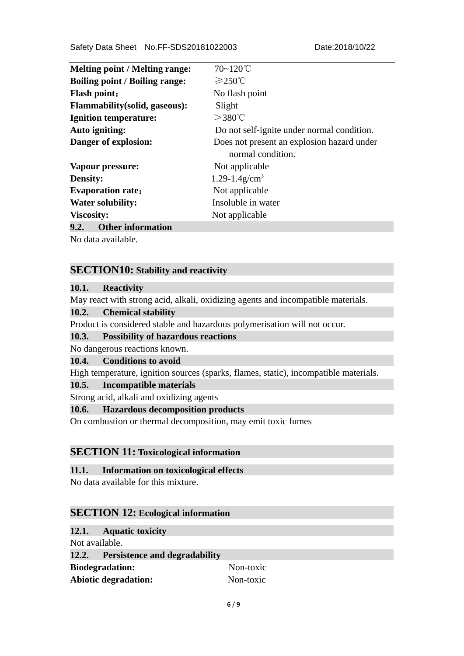| <b>Melting point / Melting range:</b> | $70 - 120$ °C                              |
|---------------------------------------|--------------------------------------------|
| <b>Boiling point / Boiling range:</b> | $≥250^{\circ}$                             |
| <b>Flash point:</b>                   | No flash point                             |
| <b>Flammability</b> (solid, gaseous): | Slight                                     |
| <b>Ignition temperature:</b>          | $>$ 380℃                                   |
| Auto igniting:                        | Do not self-ignite under normal condition. |
| Danger of explosion:                  | Does not present an explosion hazard under |
|                                       | normal condition.                          |
| Vapour pressure:                      | Not applicable                             |
| <b>Density:</b>                       | $1.29 - 1.4$ g/cm <sup>3</sup>             |
| <b>Evaporation rate:</b>              | Not applicable                             |
| <b>Water solubility:</b>              | Insoluble in water                         |
| <b>Viscosity:</b>                     | Not applicable                             |
| 9.2.<br><b>Other information</b>      |                                            |

No data available.

# **SECTION10: Stability and reactivity**

# **10.1. Reactivity**

May react with strong acid, alkali, oxidizing agents and incompatible materials.

#### **10.2. Chemical stability**

Product is considered stable and hazardous polymerisation will not occur.

#### **10.3. Possibility of hazardous reactions**

No dangerous reactions known.

#### **10.4. Conditions to avoid**

High temperature, ignition sources (sparks, flames, static), incompatible materials.

#### **10.5. Incompatible materials**

Strong acid, alkali and oxidizing agents

# **10.6. Hazardous decomposition products**

On combustion or thermal decomposition, may emit toxic fumes

#### **SECTION 11: Toxicological information**

#### **11.1. Information on toxicological effects**

No data available for this mixture.

#### **SECTION 12: Ecological information**

# **12.1. Aquatic toxicity**

| Not available.                      |                        |           |
|-------------------------------------|------------------------|-----------|
| 12.2. Persistence and degradability |                        |           |
|                                     | <b>Biodegradation:</b> | Non-toxic |
| <b>Abiotic degradation:</b>         |                        | Non-toxic |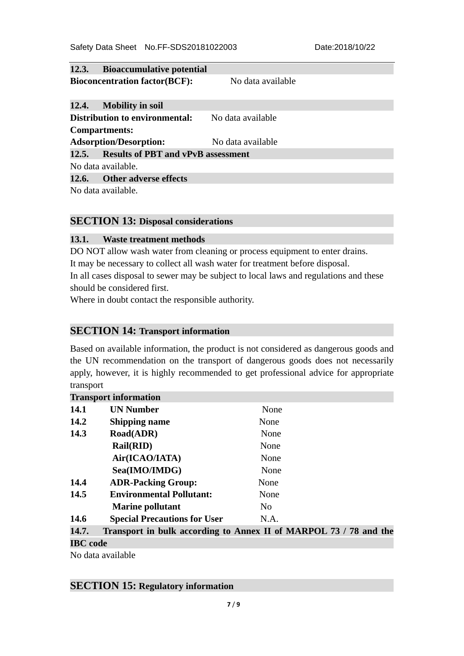| 12.3. Bioaccumulative potential          |                   |  |
|------------------------------------------|-------------------|--|
| <b>Bioconcentration factor(BCF):</b>     | No data available |  |
|                                          |                   |  |
| 12.4. Mobility in soil                   |                   |  |
| <b>Distribution to environmental:</b>    | No data available |  |
| <b>Compartments:</b>                     |                   |  |
| <b>Adsorption/Desorption:</b>            | No data available |  |
| 12.5. Results of PBT and vPvB assessment |                   |  |
| No data available.                       |                   |  |
| 12.6. Other adverse effects              |                   |  |
| No data available.                       |                   |  |

# **SECTION 13: Disposal considerations**

#### **13.1. Waste treatment methods**

DO NOT allow wash water from cleaning or process equipment to enter drains. It may be necessary to collect all wash water for treatment before disposal. In all cases disposal to sewer may be subject to local laws and regulations and these should be considered first.

Where in doubt contact the responsible authority.

# **SECTION 14: Transport information**

Based on available information, the product is not considered as dangerous goods and the UN recommendation on the transport of dangerous goods does not necessarily apply, however, it is highly recommended to get professional advice for appropriate transport

|       | <b>Transport information</b>        |                                                                   |
|-------|-------------------------------------|-------------------------------------------------------------------|
| 14.1  | <b>UN Number</b>                    | None                                                              |
| 14.2  | <b>Shipping name</b>                | None                                                              |
| 14.3  | <b>Road(ADR)</b>                    | None                                                              |
|       | Rail(RID)                           | None                                                              |
|       | Air(ICAO/IATA)                      | None                                                              |
|       | Sea(IMO/IMDG)                       | None                                                              |
| 14.4  | <b>ADR-Packing Group:</b>           | None                                                              |
| 14.5  | <b>Environmental Pollutant:</b>     | None                                                              |
|       | <b>Marine pollutant</b>             | N <sub>o</sub>                                                    |
| 14.6  | <b>Special Precautions for User</b> | N.A.                                                              |
| 14.7. |                                     | Transport in bulk according to Annex II of MARPOL 73 / 78 and the |
|       |                                     |                                                                   |

# **IBC code**

No data available

#### **SECTION 15: Regulatory information**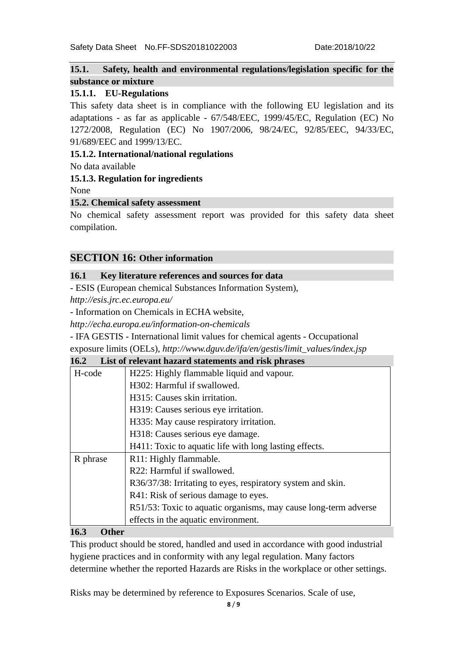# **15.1. Safety, health and environmental regulations/legislation specific for the substance or mixture**

# **15.1.1. EU-Regulations**

This safety data sheet is in compliance with the following EU legislation and its adaptations - as far as applicable - 67/548/EEC, 1999/45/EC, Regulation (EC) No 1272/2008, Regulation (EC) No 1907/2006, 98/24/EC, 92/85/EEC, 94/33/EC, 91/689/EEC and 1999/13/EC.

#### **15.1.2. International/national regulations**

No data available

# **15.1.3. Regulation for ingredients**

None

# **15.2. Chemical safety assessment**

No chemical safety assessment report was provided for this safety data sheet compilation.

# **SECTION 16: Other information**

# **16.1 Key literature references and sources for data**

- ESIS (European chemical Substances Information System),

*http://esis.jrc.ec.europa.eu/* 

- Information on Chemicals in ECHA website,

*http://echa.europa.eu/information-on-chemicals* 

- IFA GESTIS - International limit values for chemical agents - Occupational

exposure limits (OELs), *http://www.dguv.de/ifa/en/gestis/limit\_values/index.jsp* 

#### **16.2 List of relevant hazard statements and risk phrases**

| H-code   | H225: Highly flammable liquid and vapour.                       |  |
|----------|-----------------------------------------------------------------|--|
|          | H302: Harmful if swallowed.                                     |  |
|          | H315: Causes skin irritation.                                   |  |
|          | H319: Causes serious eye irritation.                            |  |
|          | H335: May cause respiratory irritation.                         |  |
|          | H318: Causes serious eye damage.                                |  |
|          | H411: Toxic to aquatic life with long lasting effects.          |  |
| R phrase | R11: Highly flammable.                                          |  |
|          | R22: Harmful if swallowed.                                      |  |
|          | R36/37/38: Irritating to eyes, respiratory system and skin.     |  |
|          | R41: Risk of serious damage to eyes.                            |  |
|          | R51/53: Toxic to aquatic organisms, may cause long-term adverse |  |
|          | effects in the aquatic environment.                             |  |

#### **16.3 Other**

This product should be stored, handled and used in accordance with good industrial hygiene practices and in conformity with any legal regulation. Many factors determine whether the reported Hazards are Risks in the workplace or other settings.

Risks may be determined by reference to Exposures Scenarios. Scale of use,